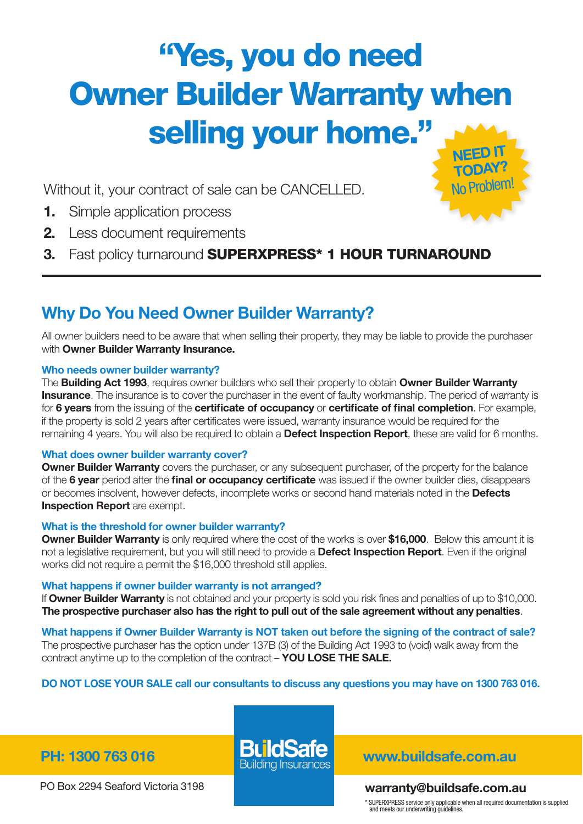# "Yes, you do need **Owner Builder Warranty when** selling your home." NEED IT

Without it, your contract of sale can be CANCELLED.

- 1. Simple application process
- 2. Less document requirements
- 3. Fast policy turnaround SUPERXPRESS\* 1 HOUR TURNAROUND

# Why Do You Need Owner Builder Warranty?

All owner builders need to be aware that when selling their property, they may be liable to provide the purchaser with **Owner Builder Warranty Insurance.** 

# Who needs owner builder warranty?

The Building Act 1993, requires owner builders who sell their property to obtain Owner Builder Warranty **Insurance**. The insurance is to cover the purchaser in the event of faulty workmanship. The period of warranty is for 6 years from the issuing of the certificate of occupancy or certificate of final completion. For example, if the property is sold 2 years after certificates were issued, warranty insurance would be required for the remaining 4 years. You will also be required to obtain a **Defect Inspection Report**, these are valid for 6 months.

# What does owner builder warranty cover?

**Owner Builder Warranty** covers the purchaser, or any subsequent purchaser, of the property for the balance of the 6 year period after the final or occupancy certificate was issued if the owner builder dies, disappears or becomes insolvent, however defects, incomplete works or second hand materials noted in the Defects **Inspection Report** are exempt.

# What is the threshold for owner builder warranty?

Owner Builder Warranty is only required where the cost of the works is over \$16,000. Below this amount it is not a legislative requirement, but you will still need to provide a **Defect Inspection Report**. Even if the original works did not require a permit the \$16,000 threshold still applies.

# What happens if owner builder warranty is not arranged?

If Owner Builder Warranty is not obtained and your property is sold you risk fines and penalties of up to \$10,000. The prospective purchaser also has the right to pull out of the sale agreement without any penalties.

What happens if Owner Builder Warranty is NOT taken out before the signing of the contract of sale? The prospective purchaser has the option under 137B (3) of the Building Act 1993 to (void) walk away from the contract anytime up to the completion of the contract - YOU LOSE THE SALE.

# DO NOT LOSE YOUR SALE call our consultants to discuss any questions you may have on 1300 763 016.

PO Box 2294 Seaford Victoria 3198

PH: 1300 763 016 **DUTUDATE** www.buildsafe.com.au

# warranty@buildsafe.com.au

\* SUPERXPRESS service only applicable when all required documentation is supplied and meets our underwriting guidelines.

TODAY? No Problem!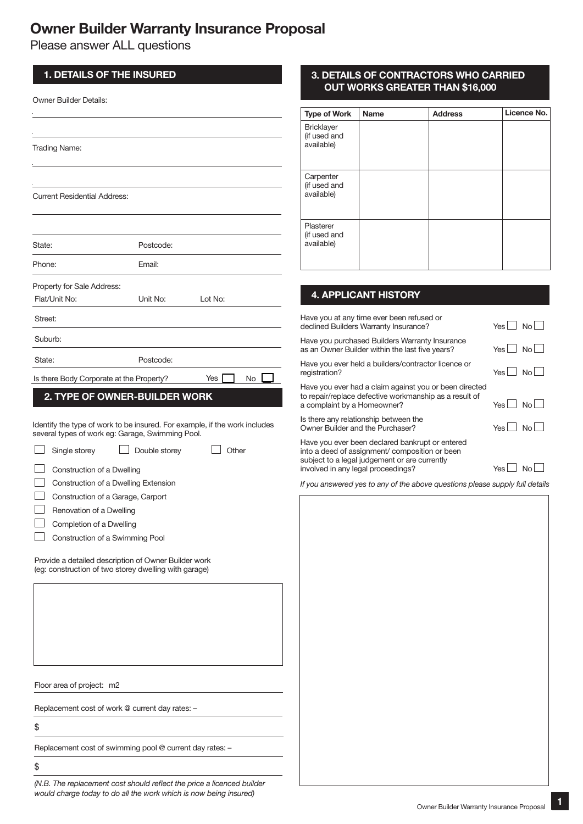# Owner Builder Warranty Insurance Proposal

Please answer ALL questions

| <b>1. DETAILS OF THE INSURED</b>                                                                              |               |                                                                            | 3. DI                                |
|---------------------------------------------------------------------------------------------------------------|---------------|----------------------------------------------------------------------------|--------------------------------------|
| Owner Builder Details:                                                                                        |               |                                                                            | O                                    |
|                                                                                                               |               |                                                                            | <b>Type of</b>                       |
|                                                                                                               |               |                                                                            | <b>Bricklay</b>                      |
| <b>Trading Name:</b>                                                                                          |               |                                                                            | (if used<br>available                |
|                                                                                                               |               |                                                                            |                                      |
|                                                                                                               |               |                                                                            | Carpent<br>(if used                  |
| <b>Current Residential Address:</b>                                                                           |               |                                                                            | available                            |
|                                                                                                               |               |                                                                            | Plastere                             |
| State:                                                                                                        | Postcode:     |                                                                            | (if used<br>available                |
| Phone:                                                                                                        | Email:        |                                                                            |                                      |
| Property for Sale Address:                                                                                    |               |                                                                            |                                      |
| Flat/Unit No:                                                                                                 | Unit No:      | Lot No:                                                                    | <b>4. AF</b>                         |
| Street:                                                                                                       |               |                                                                            | Have you<br>declined                 |
| Suburb:                                                                                                       |               |                                                                            | Have you                             |
| State:                                                                                                        | Postcode:     |                                                                            | as an Ow<br>Have you                 |
| Is there Body Corporate at the Property?                                                                      |               | Yes  <br>No                                                                | registratio                          |
| 2. TYPE OF OWNER-BUILDER WORK                                                                                 |               |                                                                            | Have you<br>to repair/<br>a compla   |
| several types of work eg: Garage, Swimming Pool.                                                              |               | Identify the type of work to be insured. For example, if the work includes | Is there a<br>Owner Bu               |
| Single storey                                                                                                 | Double storey | Other                                                                      | Have you<br>into a dee<br>subject to |
| Construction of a Dwelling                                                                                    |               |                                                                            | involved i                           |
| Construction of a Dwelling Extension                                                                          |               |                                                                            | If you ans                           |
| Construction of a Garage, Carport                                                                             |               |                                                                            |                                      |
| Renovation of a Dwelling                                                                                      |               |                                                                            |                                      |
| Completion of a Dwelling                                                                                      |               |                                                                            |                                      |
| Construction of a Swimming Pool                                                                               |               |                                                                            |                                      |
| Provide a detailed description of Owner Builder work<br>(eg: construction of two storey dwelling with garage) |               |                                                                            |                                      |
|                                                                                                               |               |                                                                            |                                      |
|                                                                                                               |               |                                                                            |                                      |
|                                                                                                               |               |                                                                            |                                      |
|                                                                                                               |               |                                                                            |                                      |
|                                                                                                               |               |                                                                            |                                      |
| Floor area of project: m2                                                                                     |               |                                                                            |                                      |
| Replacement cost of work @ current day rates: -                                                               |               |                                                                            |                                      |
| \$                                                                                                            |               |                                                                            |                                      |
|                                                                                                               |               |                                                                            |                                      |

### 3. DETAILS OF CONTRACTORS WHO CARRIED OUT WORKS GREATER THAN \$16,000

| <b>Type of Work</b>                             | <b>Name</b> | <b>Address</b> | Licence No. |
|-------------------------------------------------|-------------|----------------|-------------|
| <b>Bricklayer</b><br>(if used and<br>available) |             |                |             |
| Carpenter<br>(if used and<br>available)         |             |                |             |
| Plasterer<br>(if used and<br>available)         |             |                |             |

# PLICANT HISTORY

| Have you at any time ever been refused or<br>declined Builders Warranty Insurance?                                                                                                      | Yes I No |                |
|-----------------------------------------------------------------------------------------------------------------------------------------------------------------------------------------|----------|----------------|
| Have you purchased Builders Warranty Insurance<br>as an Owner Builder within the last five years?                                                                                       | Yes No   |                |
| Have you ever held a builders/contractor licence or<br>registration?                                                                                                                    | Yes I No |                |
| Have you ever had a claim against you or been directed<br>to repair/replace defective workmanship as a result of<br>a complaint by a Homeowner?                                         | Yes      | N <sub>0</sub> |
| Is there any relationship between the<br>Owner Builder and the Purchaser?                                                                                                               | Yes      | N <sub>0</sub> |
| Have you ever been declared bankrupt or entered<br>into a deed of assignment/composition or been<br>subject to a legal judgement or are currently<br>involved in any legal proceedings? | Yes I    |                |

*If you answered yes to any of the above questions please supply full details* 

Replacement cost of swimming pool @ current day rates: –

\$

*(N.B. The replacement cost should reflect the price a licenced builder would charge today to do all the work which is now being insured)* <sup>2</sup>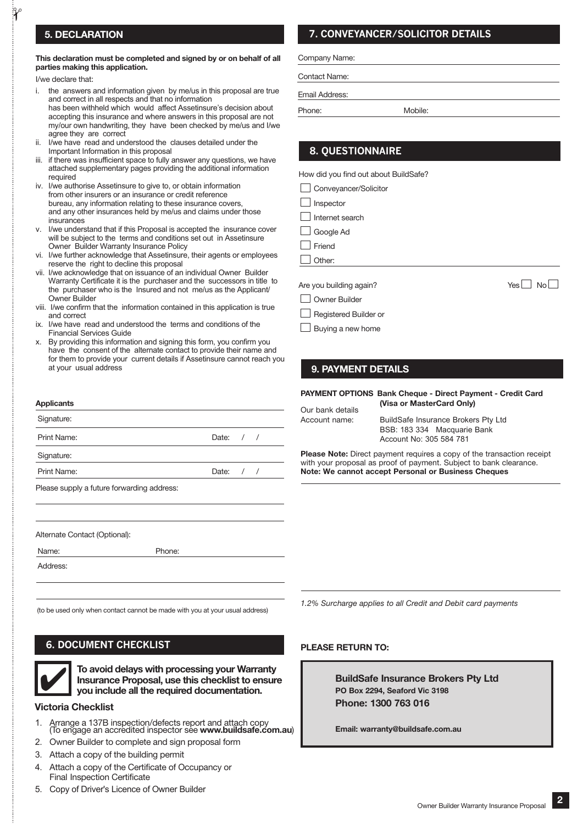#### 5. DECLARATION

#### This declaration must be completed and signed by or on behalf of all parties making this application.

I/we declare that:

 $\mathbf{r}$ 

- i. the answers and information given by me/us in this proposal are true and correct in all respects and that no information has been withheld which would affect Assetinsure's decision about accepting this insurance and where answers in this proposal are not my/our own handwriting, they have been checked by me/us and I/we agree they are correct
- ii. I/we have read and understood the clauses detailed under the Important Information in this proposal
- iii. if there was insufficient space to fully answer any questions, we have attached supplementary pages providing the additional information required
- iv. I/we authorise Assetinsure to give to, or obtain information from other insurers or an insurance or credit reference bureau, any information relating to these insurance covers, and any other insurances held by me/us and claims under those insurances
- v. I/we understand that if this Proposal is accepted the insurance cover will be subject to the terms and conditions set out in Assetinsure Owner Builder Warranty Insurance Policy
- vi. I/we further acknowledge that Assetinsure, their agents or employees reserve the right to decline this proposal
- vii. I/we acknowledge that on issuance of an individual Owner Builder Warranty Certificate it is the purchaser and the successors in title to the purchaser who is the Insured and not me/us as the Applicant/ Owner Builder
- viii. I/we confirm that the information contained in this application is true and correct
- ix. I/we have read and understood the terms and conditions of the Financial Services Guide
- x. By providing this information and signing this form, you confirm you have the consent of the alternate contact to provide their name and for them to provide your current details if Assetinsure cannot reach you at your usual address

#### **Applicants**

| Signature:                                 |             |  |
|--------------------------------------------|-------------|--|
| Print Name:                                | Date: $/$ / |  |
| Signature:                                 |             |  |
| Print Name:                                | Date: $/$ / |  |
| Please supply a future forwarding address: |             |  |

Alternate Contact (Optional):

Name: Phone:

Address:

(to be used only when contact cannot be made with you at your usual address)

#### **6. DOCUMENT CHECKLIST**



To avoid delays with processing your Warranty Insurance Proposal, use this checklist to ensure you include all the required documentation. To avoid delays with processing your \<br>Insurance Proposal, use this checklist<br>you include all the required document

#### Victoria Checklist

- Arrange a 137B inspection/defects report and attach copy<br>(To engage an accredited inspector see www.buildsafe.com.au)
- 2. Owner Builder to complete and sign proposal form
- 3. Attach a copy of the building permit
- Attach a copy of the Certificate of Occupancy or  $\overline{4}$ . Final Inspection Certificate
- Copy of Driver's Licence of Owner Builder  $5.$

### **7. CONVEYANCER/SOLICITOR DETAILS**

Company Name:

Contact Name:

Email Address:

Phone: Mobile:

### **8. QUESTIONNAIRE**

How did you find out about BuildSafe?

Conveyancer/Solicitor

Inspector

Internet search

Google Ad

Friend

Other:

Are you building again?  $\Box$  No  $\Box$ 

Owner Builder

Registered Builder or

#### **Buying a new home**

#### 9. PAYMENT DETAILS

PAYMENT OPTIONS Bank Cheque - Direct Payment - Credit Card (Visa or MasterCard Only)

Our bank details Account name:

BuildSafe Insurance Brokers Pty Ltd BSB: 183 334 Macquarie Bank Account No: 305 584 781

Please Note: Direct payment requires a copy of the transaction receipt with your proposal as proof of payment. Subject to bank clearance. Note: We cannot accept Personal or Business Cheques

*1.2% Surcharge applies to* 

#### PLEASE RETURN TO:

BuildSafe Insurance Brokers Pty Ltd PO Box 2294, Seaford Vic 3198 Phone: 1300 763 016

Email: warranty@buildsafe.com.au